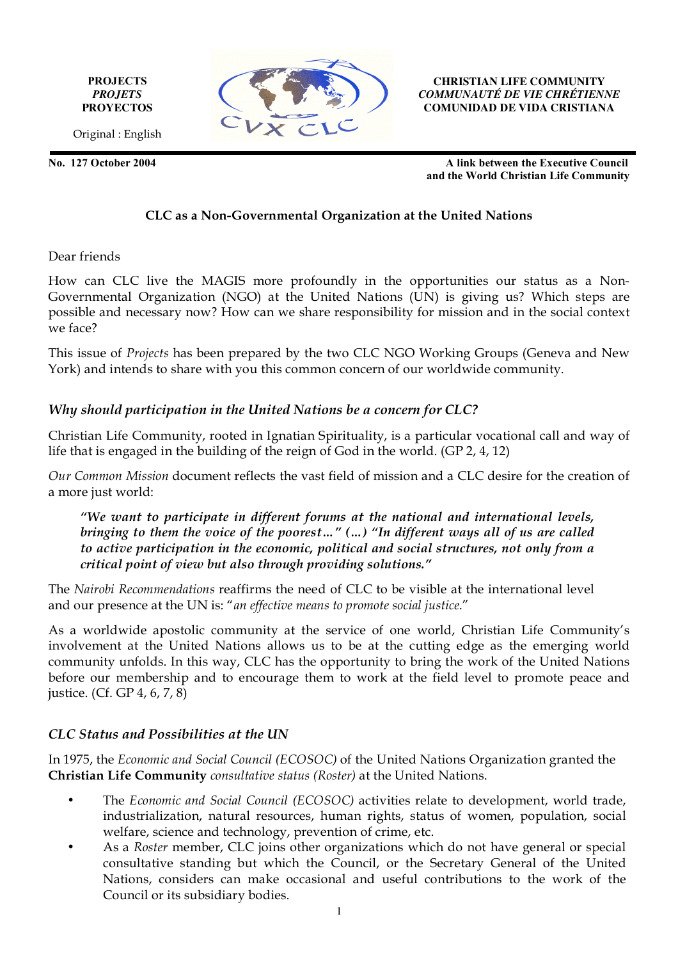**PROJECTS** *PROJETS* **PROYECTOS**



**CHRISTIAN LIFE COMMUNITY** *COMMUNAUTÉ DE VIE CHRÉTIENNE* **COMUNIDAD DE VIDA CRISTIANA**

Original : English

**No. 127 October 2004 A link between the Executive Council and the World Christian Life Community**

## **CLC as a Non-Governmental Organization at the United Nations**

Dear friends

How can CLC live the MAGIS more profoundly in the opportunities our status as a Non-Governmental Organization (NGO) at the United Nations (UN) is giving us? Which steps are possible and necessary now? How can we share responsibility for mission and in the social context we face?

This issue of *Projects* has been prepared by the two CLC NGO Working Groups (Geneva and New York) and intends to share with you this common concern of our worldwide community.

# *Why should participation in the United Nations be a concern for CLC?*

Christian Life Community, rooted in Ignatian Spirituality, is a particular vocational call and way of life that is engaged in the building of the reign of God in the world. (GP 2, 4, 12)

*Our Common Mission* document reflects the vast field of mission and a CLC desire for the creation of a more just world:

*"We want to participate in different forums at the national and international levels, bringing to them the voice of the poorest…" (…) "In different ways all of us are called to active participation in the economic, political and social structures, not only from a critical point of view but also through providing solutions."*

The *Nairobi Recommendations* reaffirms the need of CLC to be visible at the international level and our presence at the UN is: "*an effective means to promote social justice*."

As a worldwide apostolic community at the service of one world, Christian Life Community's involvement at the United Nations allows us to be at the cutting edge as the emerging world community unfolds. In this way, CLC has the opportunity to bring the work of the United Nations before our membership and to encourage them to work at the field level to promote peace and justice. (Cf. GP 4, 6, 7, 8)

# *CLC Status and Possibilities at the UN*

In 1975, the *Economic and Social Council (ECOSOC)* of the United Nations Organization granted the **Christian Life Community** *consultative status (Roster)* at the United Nations.

- The *Economic and Social Council (ECOSOC)* activities relate to development, world trade, industrialization, natural resources, human rights, status of women, population, social welfare, science and technology, prevention of crime, etc.
- As a *Roster* member, CLC joins other organizations which do not have general or special consultative standing but which the Council, or the Secretary General of the United Nations, considers can make occasional and useful contributions to the work of the Council or its subsidiary bodies.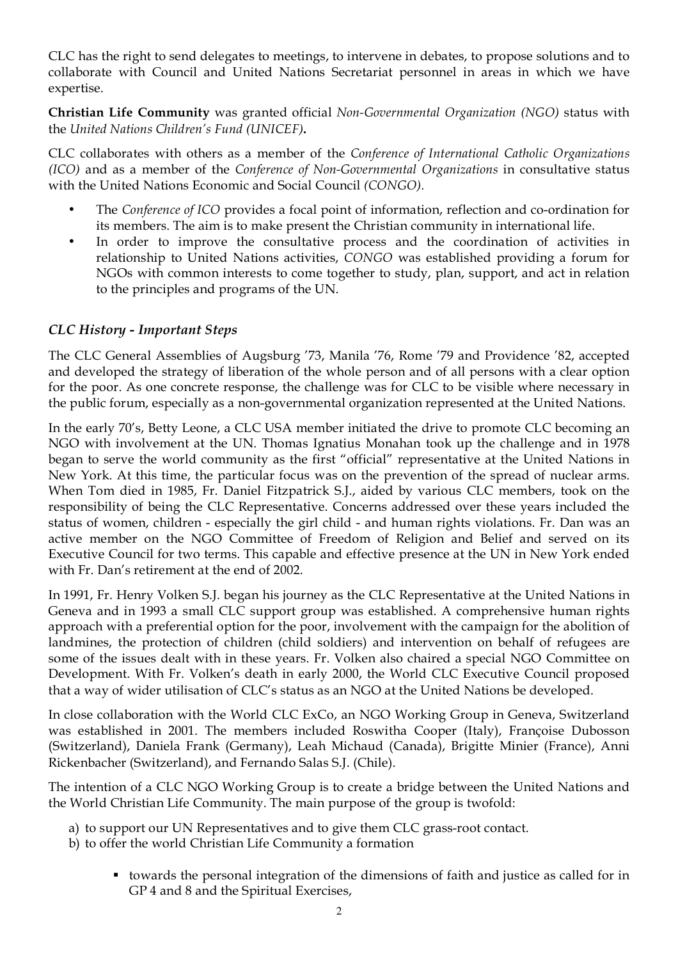CLC has the right to send delegates to meetings, to intervene in debates, to propose solutions and to collaborate with Council and United Nations Secretariat personnel in areas in which we have expertise.

**Christian Life Community** was granted official *Non-Governmental Organization (NGO)* status with the *United Nations Children's Fund (UNICEF)***.**

CLC collaborates with others as a member of the *Conference of International Catholic Organizations (ICO)* and as a member of the *Conference of Non-Governmental Organizations* in consultative status with the United Nations Economic and Social Council *(CONGO)*.

- The *Conference of ICO* provides a focal point of information, reflection and co-ordination for its members. The aim is to make present the Christian community in international life.
- In order to improve the consultative process and the coordination of activities in relationship to United Nations activities, *CONGO* was established providing a forum for NGOs with common interests to come together to study, plan, support, and act in relation to the principles and programs of the UN.

## *CLC History - Important Steps*

The CLC General Assemblies of Augsburg '73, Manila '76, Rome '79 and Providence '82, accepted and developed the strategy of liberation of the whole person and of all persons with a clear option for the poor. As one concrete response, the challenge was for CLC to be visible where necessary in the public forum, especially as a non-governmental organization represented at the United Nations.

In the early 70's, Betty Leone, a CLC USA member initiated the drive to promote CLC becoming an NGO with involvement at the UN. Thomas Ignatius Monahan took up the challenge and in 1978 began to serve the world community as the first "official" representative at the United Nations in New York. At this time, the particular focus was on the prevention of the spread of nuclear arms. When Tom died in 1985, Fr. Daniel Fitzpatrick S.J., aided by various CLC members, took on the responsibility of being the CLC Representative. Concerns addressed over these years included the status of women, children - especially the girl child - and human rights violations. Fr. Dan was an active member on the NGO Committee of Freedom of Religion and Belief and served on its Executive Council for two terms. This capable and effective presence at the UN in New York ended with Fr. Dan's retirement at the end of 2002.

In 1991, Fr. Henry Volken S.J. began his journey as the CLC Representative at the United Nations in Geneva and in 1993 a small CLC support group was established. A comprehensive human rights approach with a preferential option for the poor, involvement with the campaign for the abolition of landmines, the protection of children (child soldiers) and intervention on behalf of refugees are some of the issues dealt with in these years. Fr. Volken also chaired a special NGO Committee on Development. With Fr. Volken's death in early 2000, the World CLC Executive Council proposed that a way of wider utilisation of CLC's status as an NGO at the United Nations be developed.

In close collaboration with the World CLC ExCo, an NGO Working Group in Geneva, Switzerland was established in 2001. The members included Roswitha Cooper (Italy), Françoise Dubosson (Switzerland), Daniela Frank (Germany), Leah Michaud (Canada), Brigitte Minier (France), Anni Rickenbacher (Switzerland), and Fernando Salas S.J. (Chile).

The intention of a CLC NGO Working Group is to create a bridge between the United Nations and the World Christian Life Community. The main purpose of the group is twofold:

- a) to support our UN Representatives and to give them CLC grass-root contact.
- b) to offer the world Christian Life Community a formation
	- towards the personal integration of the dimensions of faith and justice as called for in GP 4 and 8 and the Spiritual Exercises,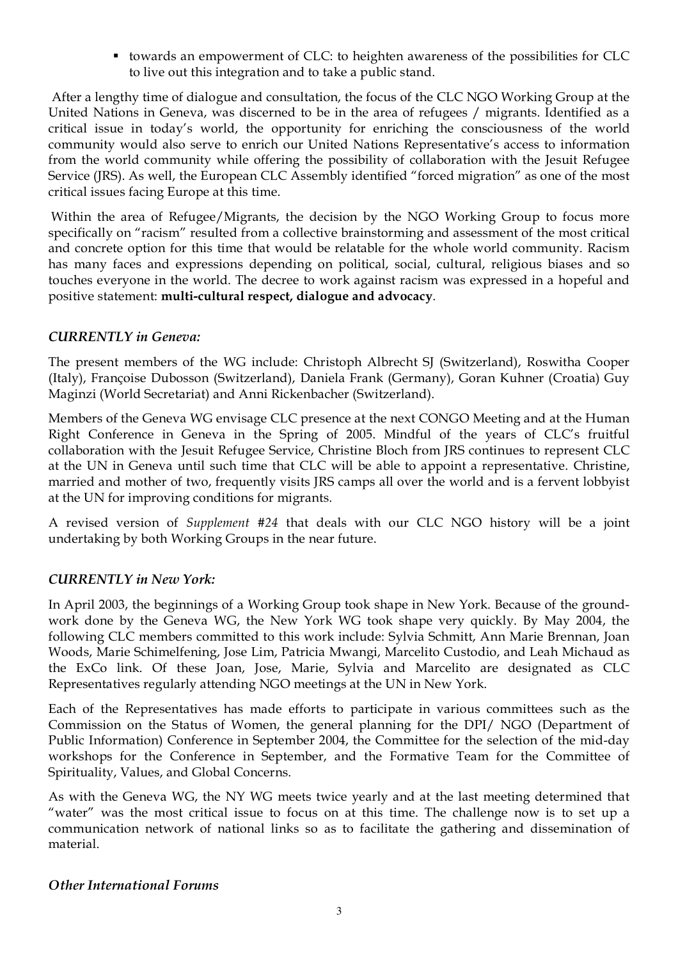towards an empowerment of CLC: to heighten awareness of the possibilities for CLC to live out this integration and to take a public stand.

 After a lengthy time of dialogue and consultation, the focus of the CLC NGO Working Group at the United Nations in Geneva, was discerned to be in the area of refugees / migrants. Identified as a critical issue in today's world, the opportunity for enriching the consciousness of the world community would also serve to enrich our United Nations Representative's access to information from the world community while offering the possibility of collaboration with the Jesuit Refugee Service (JRS). As well, the European CLC Assembly identified "forced migration" as one of the most critical issues facing Europe at this time.

Within the area of Refugee/Migrants, the decision by the NGO Working Group to focus more specifically on "racism" resulted from a collective brainstorming and assessment of the most critical and concrete option for this time that would be relatable for the whole world community. Racism has many faces and expressions depending on political, social, cultural, religious biases and so touches everyone in the world. The decree to work against racism was expressed in a hopeful and positive statement: **multi-cultural respect, dialogue and advocacy**.

## *CURRENTLY in Geneva:*

The present members of the WG include: Christoph Albrecht SJ (Switzerland), Roswitha Cooper (Italy), Françoise Dubosson (Switzerland), Daniela Frank (Germany), Goran Kuhner (Croatia) Guy Maginzi (World Secretariat) and Anni Rickenbacher (Switzerland).

Members of the Geneva WG envisage CLC presence at the next CONGO Meeting and at the Human Right Conference in Geneva in the Spring of 2005. Mindful of the years of CLC's fruitful collaboration with the Jesuit Refugee Service, Christine Bloch from JRS continues to represent CLC at the UN in Geneva until such time that CLC will be able to appoint a representative. Christine, married and mother of two, frequently visits JRS camps all over the world and is a fervent lobbyist at the UN for improving conditions for migrants.

A revised version of *Supplement* #*24* that deals with our CLC NGO history will be a joint undertaking by both Working Groups in the near future.

#### *CURRENTLY in New York:*

In April 2003, the beginnings of a Working Group took shape in New York. Because of the groundwork done by the Geneva WG, the New York WG took shape very quickly. By May 2004, the following CLC members committed to this work include: Sylvia Schmitt, Ann Marie Brennan, Joan Woods, Marie Schimelfening, Jose Lim, Patricia Mwangi, Marcelito Custodio, and Leah Michaud as the ExCo link. Of these Joan, Jose, Marie, Sylvia and Marcelito are designated as CLC Representatives regularly attending NGO meetings at the UN in New York.

Each of the Representatives has made efforts to participate in various committees such as the Commission on the Status of Women, the general planning for the DPI/ NGO (Department of Public Information) Conference in September 2004, the Committee for the selection of the mid-day workshops for the Conference in September, and the Formative Team for the Committee of Spirituality, Values, and Global Concerns.

As with the Geneva WG, the NY WG meets twice yearly and at the last meeting determined that "water" was the most critical issue to focus on at this time. The challenge now is to set up a communication network of national links so as to facilitate the gathering and dissemination of material.

#### *Other International Forums*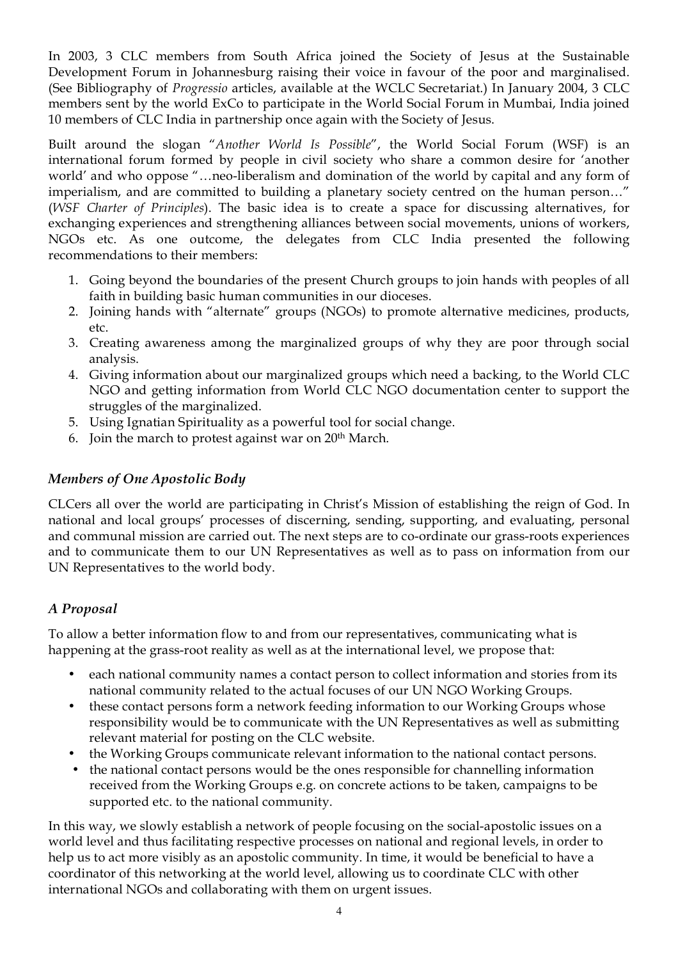In 2003, 3 CLC members from South Africa joined the Society of Jesus at the Sustainable Development Forum in Johannesburg raising their voice in favour of the poor and marginalised. (See Bibliography of *Progressio* articles, available at the WCLC Secretariat.) In January 2004, 3 CLC members sent by the world ExCo to participate in the World Social Forum in Mumbai, India joined 10 members of CLC India in partnership once again with the Society of Jesus.

Built around the slogan "*Another World Is Possible*", the World Social Forum (WSF) is an international forum formed by people in civil society who share a common desire for 'another world' and who oppose "…neo-liberalism and domination of the world by capital and any form of imperialism, and are committed to building a planetary society centred on the human person…" (*WSF Charter of Principles*). The basic idea is to create a space for discussing alternatives, for exchanging experiences and strengthening alliances between social movements, unions of workers, NGOs etc. As one outcome, the delegates from CLC India presented the following recommendations to their members:

- 1. Going beyond the boundaries of the present Church groups to join hands with peoples of all faith in building basic human communities in our dioceses.
- 2. Joining hands with "alternate" groups (NGOs) to promote alternative medicines, products, etc.
- 3. Creating awareness among the marginalized groups of why they are poor through social analysis.
- 4. Giving information about our marginalized groups which need a backing, to the World CLC NGO and getting information from World CLC NGO documentation center to support the struggles of the marginalized.
- 5. Using Ignatian Spirituality as a powerful tool for social change.
- 6. Join the march to protest against war on 20th March.

# *Members of One Apostolic Body*

CLCers all over the world are participating in Christ's Mission of establishing the reign of God. In national and local groups' processes of discerning, sending, supporting, and evaluating, personal and communal mission are carried out. The next steps are to co-ordinate our grass-roots experiences and to communicate them to our UN Representatives as well as to pass on information from our UN Representatives to the world body.

# *A Proposal*

To allow a better information flow to and from our representatives, communicating what is happening at the grass-root reality as well as at the international level, we propose that:

- each national community names a contact person to collect information and stories from its national community related to the actual focuses of our UN NGO Working Groups.
- these contact persons form a network feeding information to our Working Groups whose responsibility would be to communicate with the UN Representatives as well as submitting relevant material for posting on the CLC website.
- the Working Groups communicate relevant information to the national contact persons.
- the national contact persons would be the ones responsible for channelling information received from the Working Groups e.g. on concrete actions to be taken, campaigns to be supported etc. to the national community.

In this way, we slowly establish a network of people focusing on the social-apostolic issues on a world level and thus facilitating respective processes on national and regional levels, in order to help us to act more visibly as an apostolic community. In time, it would be beneficial to have a coordinator of this networking at the world level, allowing us to coordinate CLC with other international NGOs and collaborating with them on urgent issues.